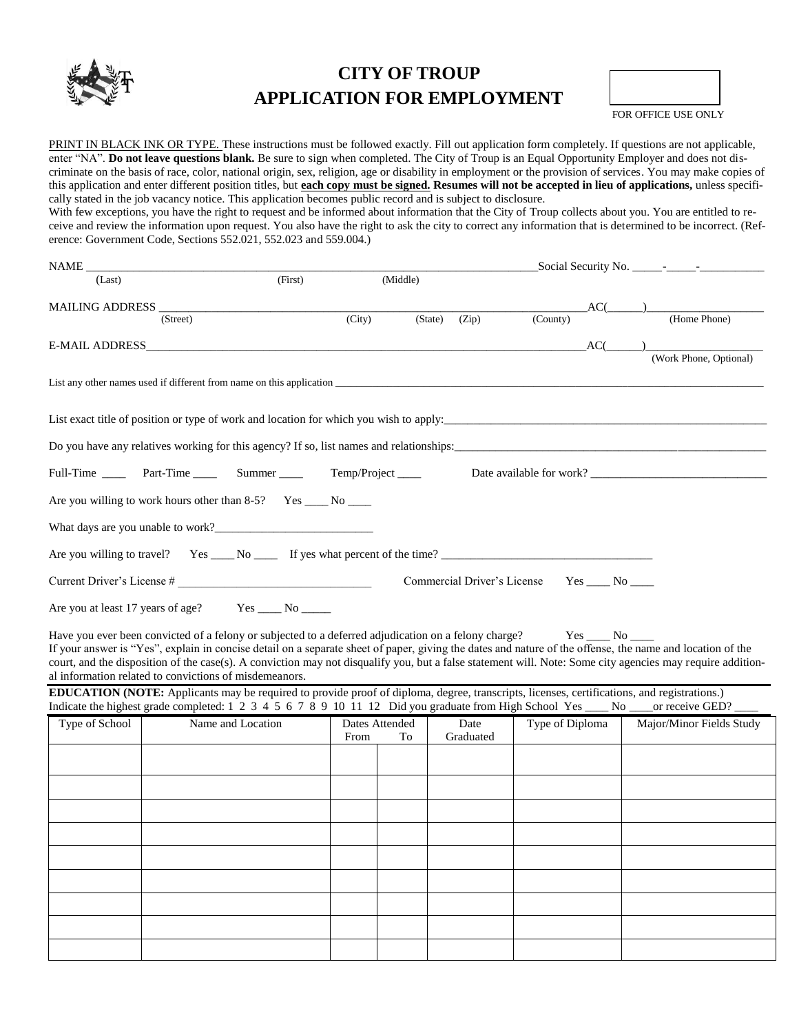

# **CITY OF TROUP APPLICATION FOR EMPLOYMENT**

FOR OFFICE USE ONLY

PRINT IN BLACK INK OR TYPE. These instructions must be followed exactly. Fill out application form completely. If questions are not applicable, enter "NA". **Do not leave questions blank.** Be sure to sign when completed. The City of Troup is an Equal Opportunity Employer and does not discriminate on the basis of race, color, national origin, sex, religion, age or disability in employment or the provision of services. You may make copies of this application and enter different position titles, but **each copy must be signed. Resumes will not be accepted in lieu of applications,** unless specifically stated in the job vacancy notice. This application becomes public record and is subject to disclosure. With few exceptions, you have the right to request and be informed about information that the City of Troup collects about you. You are entitled to receive and review the information upon request. You also have the right to ask the city to correct any information that is determined to be incorrect. (Reference: Government Code, Sections 552.021, 552.023 and 559.004.)

|                | NAME NAME                                                                                                                                                                                                            |        |                |                             |                 |                       |                          |
|----------------|----------------------------------------------------------------------------------------------------------------------------------------------------------------------------------------------------------------------|--------|----------------|-----------------------------|-----------------|-----------------------|--------------------------|
| (Last)         | (First)                                                                                                                                                                                                              |        | (Middle)       |                             |                 |                       |                          |
|                |                                                                                                                                                                                                                      |        |                |                             |                 | $AC(\_\_)$            |                          |
|                | (Street)                                                                                                                                                                                                             | (City) |                | (State)<br>(Zip)            | (County)        |                       | (Home Phone)             |
|                | E-MAIL ADDRESS <b>EXAMPLE 2018</b>                                                                                                                                                                                   |        |                |                             |                 | AC(                   |                          |
|                |                                                                                                                                                                                                                      |        |                |                             |                 |                       | (Work Phone, Optional)   |
|                |                                                                                                                                                                                                                      |        |                |                             |                 |                       |                          |
|                | List exact title of position or type of work and location for which you wish to apply:                                                                                                                               |        |                |                             |                 |                       |                          |
|                |                                                                                                                                                                                                                      |        |                |                             |                 |                       |                          |
|                | Do you have any relatives working for this agency? If so, list names and relationships:                                                                                                                              |        |                |                             |                 |                       |                          |
|                | Full-Time _______ Part-Time _________ Summer _____________ Temp/Project ______                                                                                                                                       |        |                |                             |                 |                       |                          |
|                | Are you willing to work hours other than 8-5? Yes _____ No ____                                                                                                                                                      |        |                |                             |                 |                       |                          |
|                |                                                                                                                                                                                                                      |        |                |                             |                 |                       |                          |
|                |                                                                                                                                                                                                                      |        |                |                             |                 |                       |                          |
|                |                                                                                                                                                                                                                      |        |                |                             |                 |                       |                          |
|                | Current Driver's License #                                                                                                                                                                                           |        |                | Commercial Driver's License |                 | $Yes$ ____ $No$ _____ |                          |
|                | Are you at least 17 years of age? Yes ______ No ______                                                                                                                                                               |        |                |                             |                 |                       |                          |
|                | Have you ever been convicted of a felony or subjected to a deferred adjudication on a felony charge?                                                                                                                 |        |                |                             |                 |                       |                          |
|                | If your answer is "Yes", explain in concise detail on a separate sheet of paper, giving the dates and nature of the offense, the name and location of the                                                            |        |                |                             |                 |                       |                          |
|                | court, and the disposition of the case(s). A conviction may not disqualify you, but a false statement will. Note: Some city agencies may require addition-<br>al information related to convictions of misdemeanors. |        |                |                             |                 |                       |                          |
|                | <b>EDUCATION (NOTE:</b> Applicants may be required to provide proof of diploma, degree, transcripts, licenses, certifications, and registrations.)                                                                   |        |                |                             |                 |                       |                          |
|                | Indicate the highest grade completed: 1 2 3 4 5 6 7 8 9 10 11 12 Did you graduate from High School Yes ____ No __                                                                                                    |        |                |                             |                 |                       | _or receive GED? __      |
| Type of School | Name and Location                                                                                                                                                                                                    |        | Dates Attended | Date                        | Type of Diploma |                       | Major/Minor Fields Study |
|                |                                                                                                                                                                                                                      | From   | To             | Graduated                   |                 |                       |                          |
|                |                                                                                                                                                                                                                      |        |                |                             |                 |                       |                          |
|                |                                                                                                                                                                                                                      |        |                |                             |                 |                       |                          |
|                |                                                                                                                                                                                                                      |        |                |                             |                 |                       |                          |
|                |                                                                                                                                                                                                                      |        |                |                             |                 |                       |                          |
|                |                                                                                                                                                                                                                      |        |                |                             |                 |                       |                          |
|                |                                                                                                                                                                                                                      |        |                |                             |                 |                       |                          |
|                |                                                                                                                                                                                                                      |        |                |                             |                 |                       |                          |
|                |                                                                                                                                                                                                                      |        |                |                             |                 |                       |                          |
|                |                                                                                                                                                                                                                      |        |                |                             |                 |                       |                          |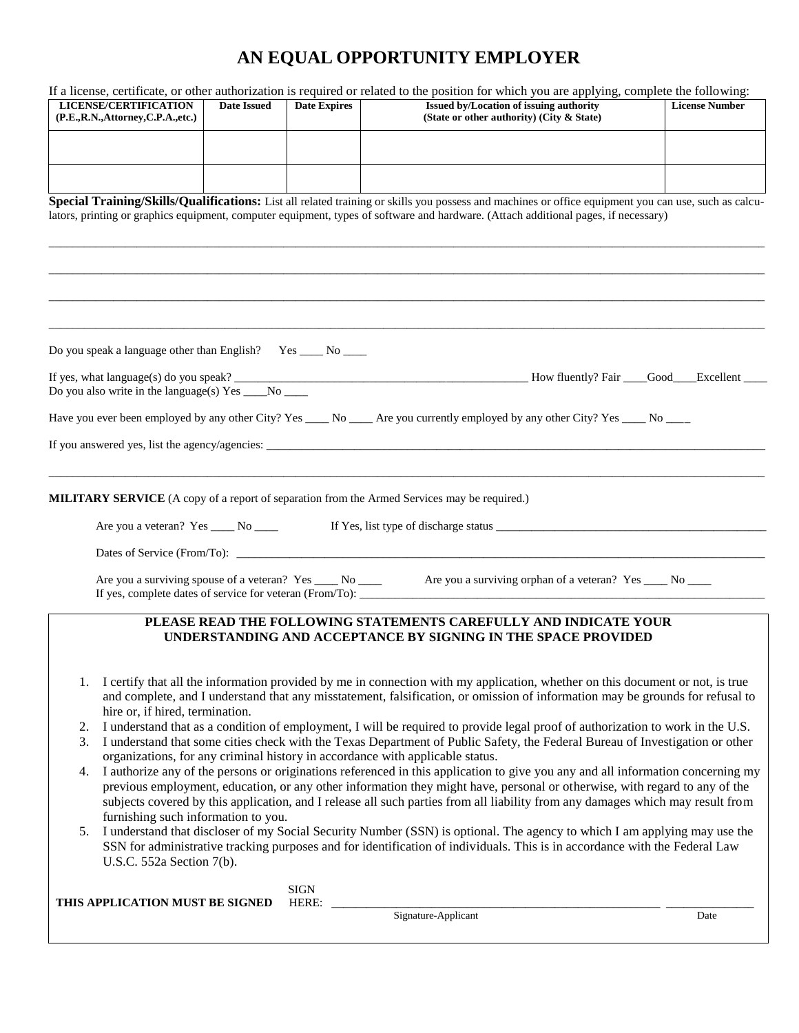# **AN EQUAL OPPORTUNITY EMPLOYER**

| <b>LICENSE/CERTIFICATION</b>                                 |                    |                     |                                                                                                                                                      | If a license, certificate, or other authorization is required or related to the position for which you are applying, complete the following: |
|--------------------------------------------------------------|--------------------|---------------------|------------------------------------------------------------------------------------------------------------------------------------------------------|----------------------------------------------------------------------------------------------------------------------------------------------|
|                                                              | <b>Date Issued</b> | <b>Date Expires</b> | Issued by/Location of issuing authority                                                                                                              | <b>License Number</b>                                                                                                                        |
| (P.E., R.N., Attorney, C.P.A., etc.)                         |                    |                     | (State or other authority) (City & State)                                                                                                            |                                                                                                                                              |
|                                                              |                    |                     |                                                                                                                                                      |                                                                                                                                              |
|                                                              |                    |                     |                                                                                                                                                      |                                                                                                                                              |
|                                                              |                    |                     |                                                                                                                                                      |                                                                                                                                              |
|                                                              |                    |                     |                                                                                                                                                      |                                                                                                                                              |
|                                                              |                    |                     |                                                                                                                                                      |                                                                                                                                              |
|                                                              |                    |                     | Special Training/Skills/Qualifications: List all related training or skills you possess and machines or office equipment you can use, such as calcu- |                                                                                                                                              |
|                                                              |                    |                     | lators, printing or graphics equipment, computer equipment, types of software and hardware. (Attach additional pages, if necessary)                  |                                                                                                                                              |
|                                                              |                    |                     |                                                                                                                                                      |                                                                                                                                              |
|                                                              |                    |                     |                                                                                                                                                      |                                                                                                                                              |
|                                                              |                    |                     |                                                                                                                                                      |                                                                                                                                              |
|                                                              |                    |                     |                                                                                                                                                      |                                                                                                                                              |
|                                                              |                    |                     |                                                                                                                                                      |                                                                                                                                              |
|                                                              |                    |                     |                                                                                                                                                      |                                                                                                                                              |
|                                                              |                    |                     |                                                                                                                                                      |                                                                                                                                              |
|                                                              |                    |                     |                                                                                                                                                      |                                                                                                                                              |
| Do you speak a language other than English? Yes ____ No ____ |                    |                     |                                                                                                                                                      |                                                                                                                                              |
|                                                              |                    |                     |                                                                                                                                                      |                                                                                                                                              |
|                                                              |                    |                     |                                                                                                                                                      |                                                                                                                                              |
|                                                              |                    |                     |                                                                                                                                                      |                                                                                                                                              |
|                                                              |                    |                     |                                                                                                                                                      |                                                                                                                                              |
|                                                              |                    |                     | Have you ever been employed by any other City? Yes _____ No ______ Are you currently employed by any other City? Yes _____ No ____                   |                                                                                                                                              |
|                                                              |                    |                     |                                                                                                                                                      |                                                                                                                                              |
|                                                              |                    |                     |                                                                                                                                                      |                                                                                                                                              |
|                                                              |                    |                     |                                                                                                                                                      |                                                                                                                                              |
|                                                              |                    |                     |                                                                                                                                                      |                                                                                                                                              |
|                                                              |                    |                     |                                                                                                                                                      |                                                                                                                                              |
|                                                              |                    |                     | <b>MILITARY SERVICE</b> (A copy of a report of separation from the Armed Services may be required.)                                                  |                                                                                                                                              |
|                                                              |                    |                     |                                                                                                                                                      |                                                                                                                                              |
|                                                              |                    |                     |                                                                                                                                                      |                                                                                                                                              |
|                                                              |                    |                     | <u> 1989 - Johann Stein, mars an deutscher Stein und der Stein und der Stein und der Stein und der Stein und der</u>                                 |                                                                                                                                              |
|                                                              |                    |                     |                                                                                                                                                      |                                                                                                                                              |
|                                                              |                    |                     | Are you a surviving spouse of a veteran? Yes _____ No _____ Are you a surviving orphan of a veteran? Yes ____ No ____                                |                                                                                                                                              |
|                                                              |                    |                     |                                                                                                                                                      |                                                                                                                                              |
|                                                              |                    |                     |                                                                                                                                                      |                                                                                                                                              |
|                                                              |                    |                     |                                                                                                                                                      |                                                                                                                                              |
|                                                              |                    |                     |                                                                                                                                                      |                                                                                                                                              |
|                                                              |                    |                     | PLEASE READ THE FOLLOWING STATEMENTS CAREFULLY AND INDICATE YOUR                                                                                     |                                                                                                                                              |
|                                                              |                    |                     | UNDERSTANDING AND ACCEPTANCE BY SIGNING IN THE SPACE PROVIDED                                                                                        |                                                                                                                                              |
|                                                              |                    |                     |                                                                                                                                                      |                                                                                                                                              |
|                                                              |                    |                     |                                                                                                                                                      |                                                                                                                                              |
| 1.                                                           |                    |                     | I certify that all the information provided by me in connection with my application, whether on this document or not, is true                        |                                                                                                                                              |
|                                                              |                    |                     | and complete, and I understand that any misstatement, falsification, or omission of information may be grounds for refusal to                        |                                                                                                                                              |
| hire or, if hired, termination.                              |                    |                     |                                                                                                                                                      |                                                                                                                                              |
| 2.                                                           |                    |                     | I understand that as a condition of employment, I will be required to provide legal proof of authorization to work in the U.S.                       |                                                                                                                                              |
| 3.                                                           |                    |                     | I understand that some cities check with the Texas Department of Public Safety, the Federal Bureau of Investigation or other                         |                                                                                                                                              |
|                                                              |                    |                     | organizations, for any criminal history in accordance with applicable status.                                                                        |                                                                                                                                              |
| 4.                                                           |                    |                     | I authorize any of the persons or originations referenced in this application to give you any and all information concerning my                      |                                                                                                                                              |
|                                                              |                    |                     | previous employment, education, or any other information they might have, personal or otherwise, with regard to any of the                           |                                                                                                                                              |
|                                                              |                    |                     | subjects covered by this application, and I release all such parties from all liability from any damages which may result from                       |                                                                                                                                              |
|                                                              |                    |                     |                                                                                                                                                      |                                                                                                                                              |
| furnishing such information to you.                          |                    |                     |                                                                                                                                                      |                                                                                                                                              |
| 5.                                                           |                    |                     | I understand that discloser of my Social Security Number (SSN) is optional. The agency to which I am applying may use the                            |                                                                                                                                              |
|                                                              |                    |                     | SSN for administrative tracking purposes and for identification of individuals. This is in accordance with the Federal Law                           |                                                                                                                                              |
| U.S.C. 552a Section 7(b).                                    |                    |                     |                                                                                                                                                      |                                                                                                                                              |
|                                                              |                    |                     |                                                                                                                                                      |                                                                                                                                              |
|                                                              |                    | <b>SIGN</b>         |                                                                                                                                                      |                                                                                                                                              |
| THIS APPLICATION MUST BE SIGNED                              |                    | HERE:               | Signature-Applicant                                                                                                                                  | Date                                                                                                                                         |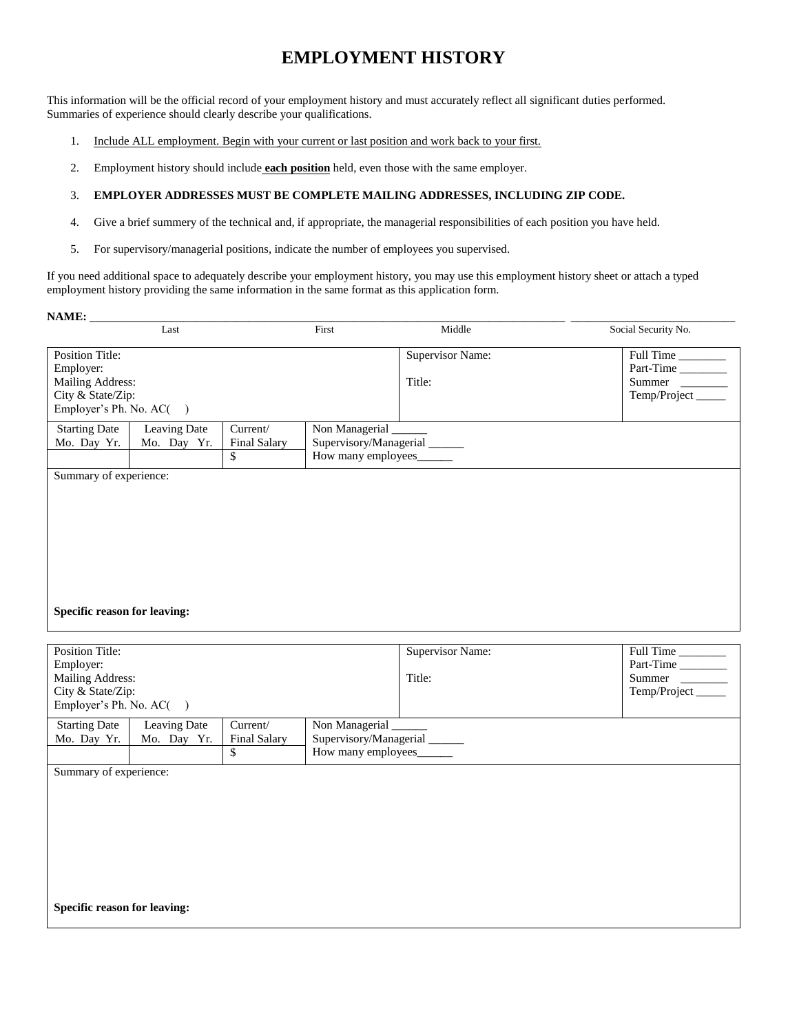### **EMPLOYMENT HISTORY**

This information will be the official record of your employment history and must accurately reflect all significant duties performed. Summaries of experience should clearly describe your qualifications.

- 1. Include ALL employment. Begin with your current or last position and work back to your first.
- 2. Employment history should include **each position** held, even those with the same employer.

#### 3. **EMPLOYER ADDRESSES MUST BE COMPLETE MAILING ADDRESSES, INCLUDING ZIP CODE.**

- 4. Give a brief summery of the technical and, if appropriate, the managerial responsibilities of each position you have held.
- 5. For supervisory/managerial positions, indicate the number of employees you supervised.

If you need additional space to adequately describe your employment history, you may use this employment history sheet or attach a typed employment history providing the same information in the same format as this application form.

| <b>NAME:</b>                        |              |                     |                      |                          |                     |
|-------------------------------------|--------------|---------------------|----------------------|--------------------------|---------------------|
|                                     | Last         |                     | First                | Middle                   | Social Security No. |
| <b>Position Title:</b>              |              |                     |                      | <b>Supervisor Name:</b>  | Full Time           |
| Employer:                           |              |                     |                      |                          | Part-Time           |
| Mailing Address:                    |              |                     |                      | Title:                   | Summer              |
| City & State/Zip:                   |              |                     |                      |                          | Temp/Project____    |
| Employer's Ph. No. AC()             |              |                     |                      |                          |                     |
| <b>Starting Date</b>                | Leaving Date | Current/            | Non Managerial _____ |                          |                     |
| Mo. Day Yr.                         | Mo. Day Yr.  | <b>Final Salary</b> |                      | Supervisory/Managerial   |                     |
|                                     |              | \$                  |                      | How many employees______ |                     |
| <b>Specific reason for leaving:</b> |              |                     |                      |                          |                     |
|                                     |              |                     |                      |                          |                     |
| <b>Position Title:</b>              |              |                     |                      | <b>Supervisor Name:</b>  | Full Time           |
| Employer:                           |              |                     |                      |                          | Part-Time           |
| Mailing Address:                    |              |                     |                      | Title:                   | Summer              |
| City & State/Zip:                   |              |                     |                      |                          | Temp/Project____    |
| Employer's Ph. No. AC()             |              |                     |                      |                          |                     |

| 2.1.44               |                |                     |                        |
|----------------------|----------------|---------------------|------------------------|
| <b>Starting Date</b> | Leaving Date   | Current/            | Non Managerial         |
| Mo. Day Yr.          | Yr.<br>Mo. Dav | <b>Final Salary</b> | Supervisory/Managerial |
|                      |                |                     | How many employees     |
|                      |                |                     |                        |

Summary of experience:

**Specific reason for leaving:**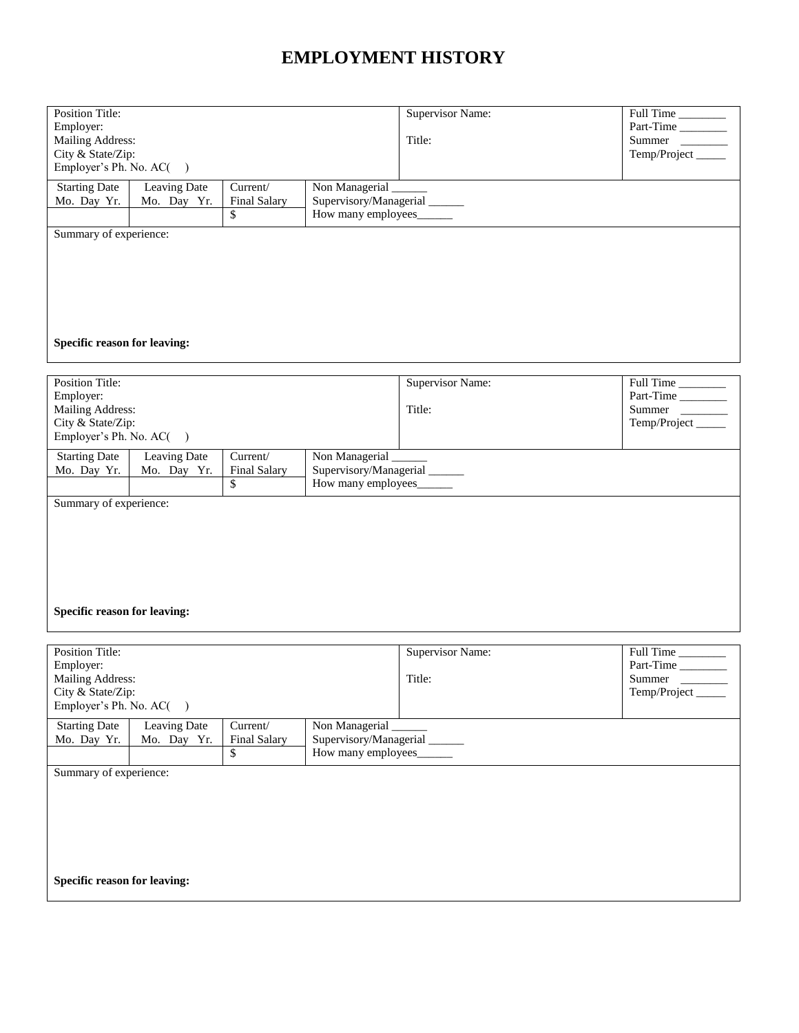## **EMPLOYMENT HISTORY**

| <b>Starting Date</b><br>Leaving Date<br>Current/<br>Non Managerial<br>Supervisory/Managerial_____<br>Mo. Day Yr.<br>Mo. Day Yr.<br>Final Salary<br>How many employees______<br>\$<br>Summary of experience: |                                   |                                                                     |  |
|-------------------------------------------------------------------------------------------------------------------------------------------------------------------------------------------------------------|-----------------------------------|---------------------------------------------------------------------|--|
|                                                                                                                                                                                                             |                                   |                                                                     |  |
| Specific reason for leaving:                                                                                                                                                                                |                                   |                                                                     |  |
| <b>Position Title:</b><br>Employer:<br>Mailing Address:<br>City & State/Zip:<br>Employer's Ph. No. AC()                                                                                                     | <b>Supervisor Name:</b><br>Title: | Full Time<br>Part-Time<br>Summer<br>Temp/Project_____               |  |
| <b>Starting Date</b><br>Leaving Date<br>Current/<br>Non Managerial<br>Supervisory/Managerial<br>Mo. Day Yr.<br>Mo. Day Yr.<br><b>Final Salary</b><br>How many employees______<br>\$                         |                                   |                                                                     |  |
| Summary of experience:<br>Specific reason for leaving:                                                                                                                                                      |                                   |                                                                     |  |
| Position Title:<br>Employer:<br><b>Mailing Address:</b><br>City & State/Zip:<br>Employer's Ph. No. AC()                                                                                                     | <b>Supervisor Name:</b><br>Title: | $\overline{Full Time}$<br>Part-Time<br>Summer _<br>Temp/Project____ |  |
| Non Managerial<br><b>Starting Date</b><br>Current/<br>Leaving Date<br>Supervisory/Managerial<br>Mo. Day Yr.<br><b>Final Salary</b><br>Mo. Day Yr.<br>How many employees<br>\$                               |                                   |                                                                     |  |
| Summary of experience:<br>Specific reason for leaving:                                                                                                                                                      |                                   |                                                                     |  |